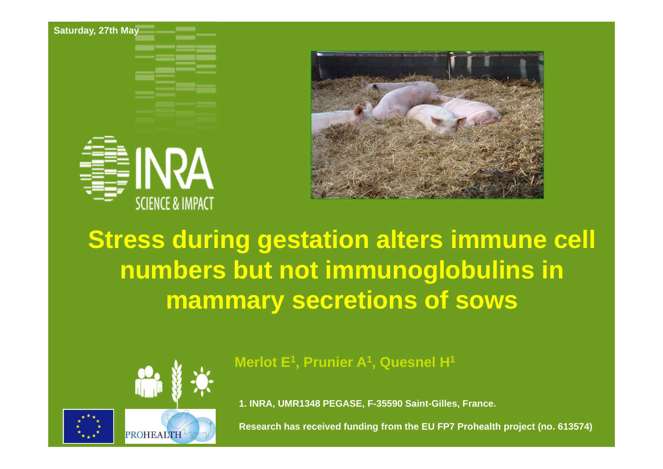**Saturday, 27th May**





## **Stress during gestation alters immune cell numbers but not immunoglobulins in mammary secretions of sows**



**Merlot E1, Prunier A1, Quesnel H1**

**1. INRA, UMR1348 PEGASE, F-35590 Saint-Gilles, France.**

**Research has received funding from the EU FP7 Prohealth project (no. 613574)**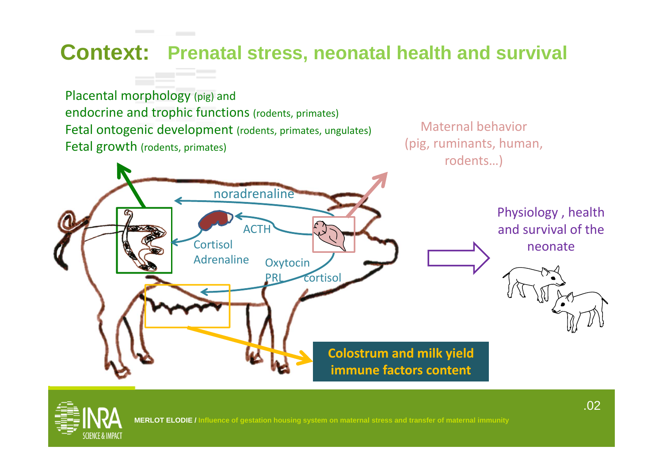### **Context: Prenatal stress, neonatal health and survival**

Placental morphology (pig) and endocrine and trophic functions (rodents, primates) Fetal ontogenic development (rodents, primates, ungulates) Fetal growth (rodents, primates)

Maternal behavior(pig, ruminants, human, rodents…)



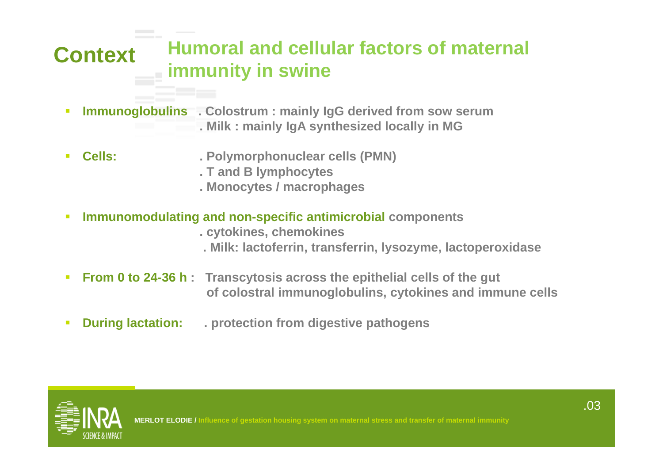### **Context Humoral and cellular factors of maternal immunity in swine**

- $\mathcal{L}_{\mathcal{A}}$  **Immunoglobulins . Colostrum : mainly IgG derived from sow serum . Milk : mainly IgA synthesized locally in MG**
- $\mathbf{r}$  **Cells: . Polymorphonuclear cells (PMN)**
	- **. T and B lymphocytes**
	- **. Monocytes / macrophages**
- $\mathcal{L}$  **Immunomodulating and non-specific antimicrobial components**
	- **. cytokines, chemokines**
	- **. Milk: lactoferrin, transferrin, lysozyme, lactoperoxidase**
- $\mathcal{C}$  **From 0 to 24-36 h : Transcytosis across the epithelial cells of the gut of colostral immunoglobulins, cytokines and immune cells**
- $\overline{\mathcal{L}}$ **During lactation: . protection from digestive pathogens**



**Ion housing system on maternal stress and transfer of maternal immunity**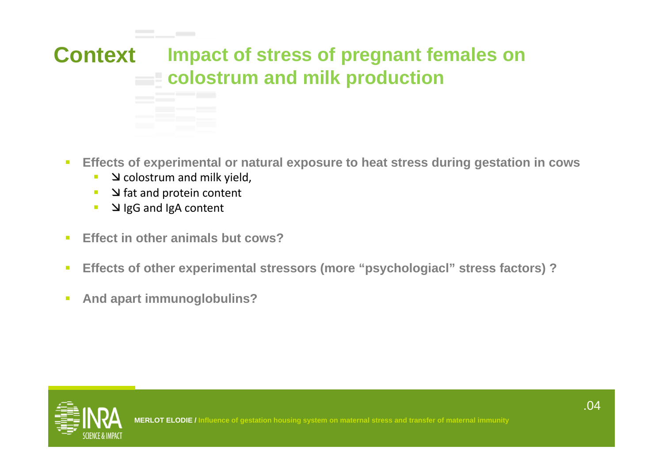

- $\mathcal{L}_{\mathcal{A}}$  **Effects of experimental or natural exposure to heat stress during gestation in cows**
	- $\mathcal{L}_{\mathcal{A}}$  $\blacksquare$   $\blacksquare$  colostrum and milk yield,
	- ×  $\blacksquare$   $\blacksquare$   $\blacksquare$  and protein content
	- $\mathcal{L}_{\mathcal{A}}$ I J IgG and IgA content
- $\overline{\phantom{a}}$ **Effect in other animals but cows?**
- $\overline{\mathcal{L}}$ **Effects of other experimental stressors (more "psychologiacl" stress factors) ?**
- $\overline{\mathcal{L}}$ **And apart immunoglobulins?**

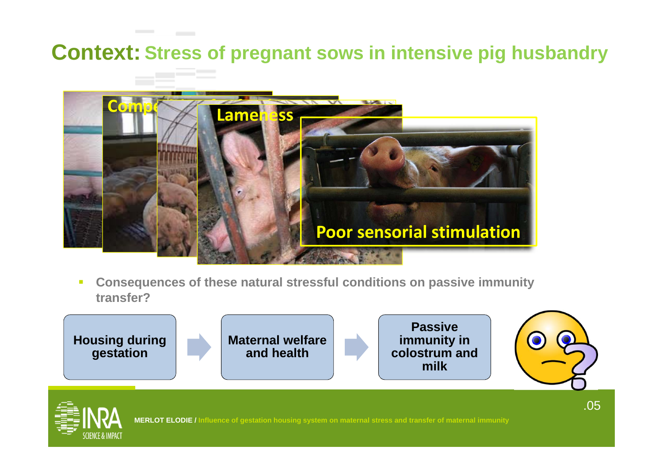### **Context: Stress of pregnant sows in intensive pig husbandry**



Г **Consequences of these natural stressful conditions on passive immunity transfer?**



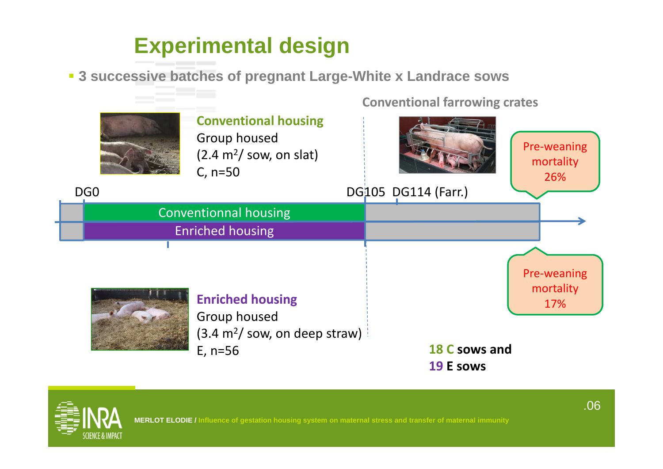## **Experimental design**

**3 successive batches of pregnant Large-White x Landrace sows**



# **Conventional housing**

**Conventional farrowing crates**



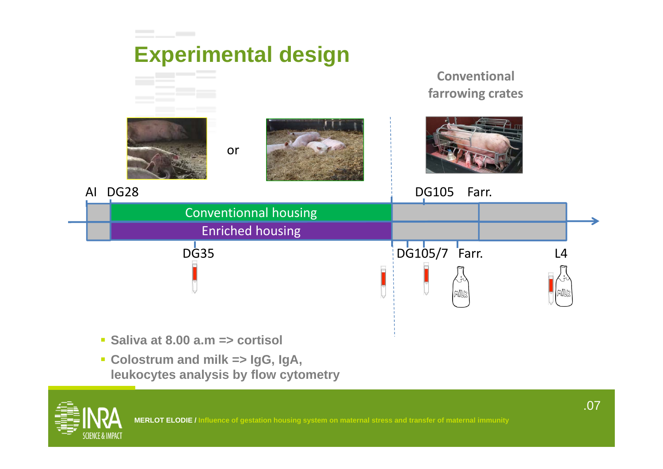

 **Colostrum and milk => IgG, IgA, leukocytes analysis by flow cytometry**

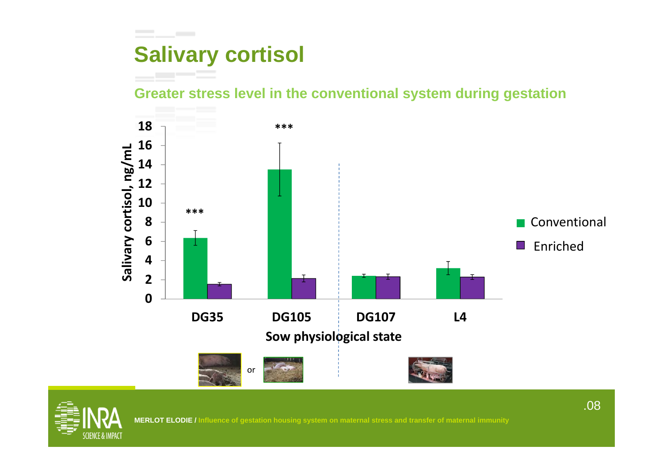## **Salivary cortisol**

**Greater stress level in the conventional system during gestation**





**MERLOT ELODIE / Influence of gestation housing system on maternal stress and transfer of maternal immunity**

.08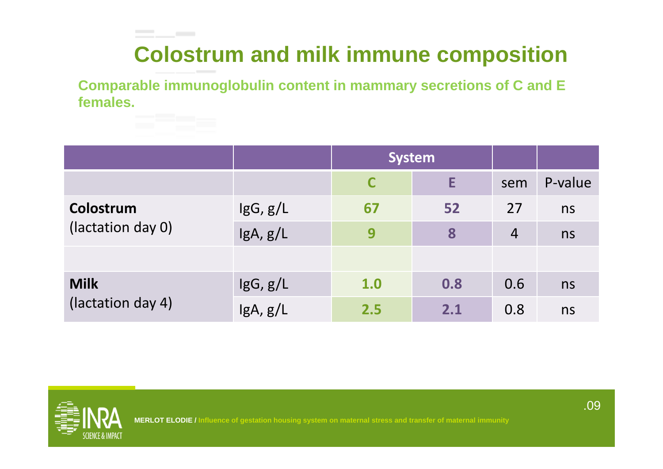## **Colostrum and milk immune composition**

**Comparable immunoglobulin content in mammary secretions of C and E females.**

|                                  |                 | <b>System</b> |     |                |         |
|----------------------------------|-----------------|---------------|-----|----------------|---------|
|                                  |                 | C             | Е   | sem            | P-value |
| Colostrum<br>(lactation day 0)   | $\lg G$ , $g/L$ | 67            | 52  | 27             | ns      |
|                                  | lgA, g/L        | 9             | 8   | $\overline{4}$ | ns      |
|                                  |                 |               |     |                |         |
| <b>Milk</b><br>(lactation day 4) | $\lg G$ , $g/L$ | 1.0           | 0.8 | 0.6            | ns      |
|                                  | IgA, g/L        | 2.5           | 2.1 | 0.8            | ns      |



\_\_\_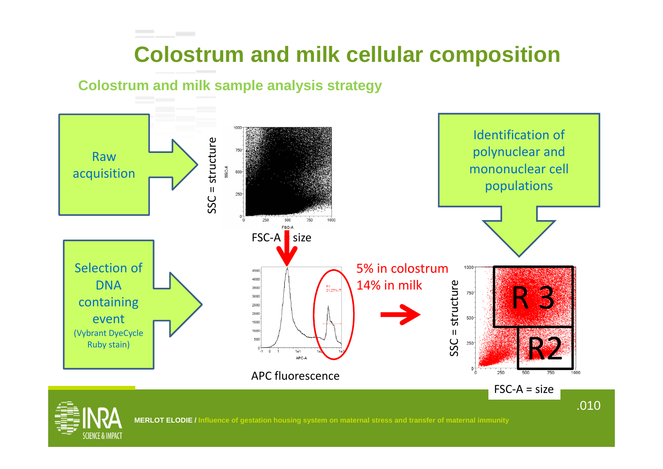### **Colostrum and milk cellular composition**

#### **Colostrum and milk sample analysis strategy**

the company of the company

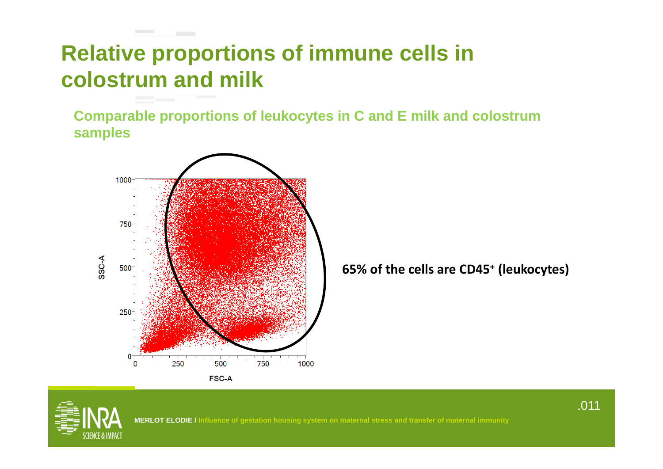## **Relative proportions of immune cells in colostrum and milk**

**Comparable proportions of leukocytes in C and E milk and colostrum samples**



the company of the company

**65% of the cells are CD45+ (leukocytes)**

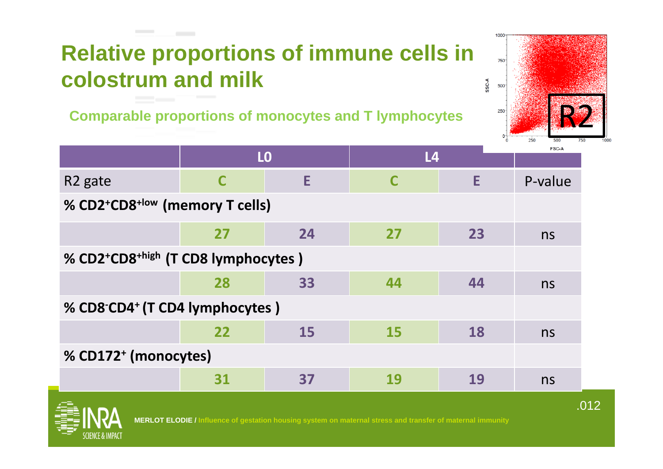### **Contract Contract Relative proportions of immune cells in colostrum and milk**

Comparable proportions of monocytes and T lymphocytes  $R^2$ <sup>250</sup>



|                                                         |    | L <sub>0</sub> | L <sub>4</sub> |    | <b>FSC-A</b> |  |  |  |  |
|---------------------------------------------------------|----|----------------|----------------|----|--------------|--|--|--|--|
| R <sub>2</sub> gate                                     | C  | E.             | C              | E  | P-value      |  |  |  |  |
| % CD2+CD8 <sup>+low</sup> (memory T cells)              |    |                |                |    |              |  |  |  |  |
|                                                         | 27 | 24             | 27             | 23 | ns           |  |  |  |  |
| % CD2+CD8 <sup>+high</sup> (T CD8 lymphocytes)          |    |                |                |    |              |  |  |  |  |
|                                                         | 28 | 33             | 44             | 44 | ns           |  |  |  |  |
| % CD8 <sup>-</sup> CD4 <sup>+</sup> (T CD4 lymphocytes) |    |                |                |    |              |  |  |  |  |
|                                                         | 22 | <b>15</b>      | 15             | 18 | ns           |  |  |  |  |
| % CD172 <sup>+</sup> (monocytes)                        |    |                |                |    |              |  |  |  |  |
|                                                         | 31 | 37             | 19             | 19 | ns           |  |  |  |  |

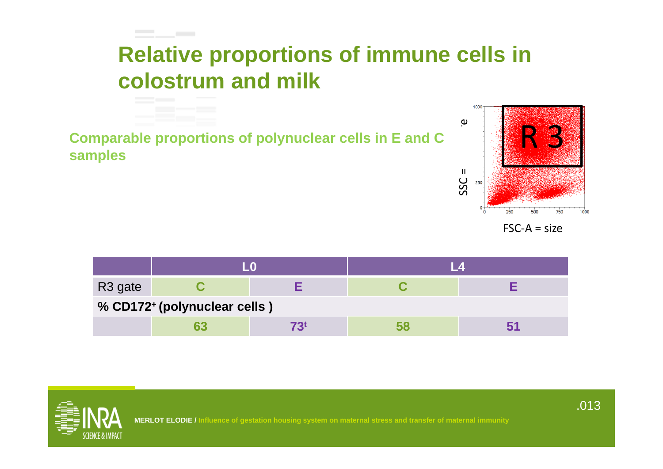## **Relative proportions of immune cells in colostrum and milk**

**Comparable proportions of polynuclear cells in E and C<br>samples**<br> $\overset{\shortparallel}{\mathbf{C}}$ 

**Contract Contract** 



FSC‐A= size

| R <sub>3</sub> gate          |  |  |  |  |  |  |  |  |
|------------------------------|--|--|--|--|--|--|--|--|
| % CD172+ (polynuclear cells) |  |  |  |  |  |  |  |  |
|                              |  |  |  |  |  |  |  |  |

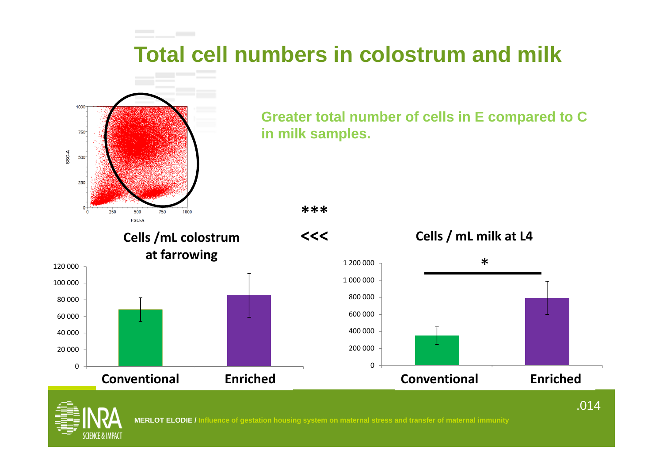## **Total cell numbers in colostrum and milk**



**Greater total number of cells in E compared to C in milk samples.**

**\*\*\***

**Cells /mL colostrum at farrowing**

caillebotis litiere**Conventional Enriched**

**Enriched** 





#### caillebotis litiere **Conventional Enriched**



0

20 000

40 000

60 000

80 000

100 000

120 000

**MERLOT ELODIE / Influence of gestation housing system on maternal stress and transfer of maternal immunity**

0

.014

**Enriched**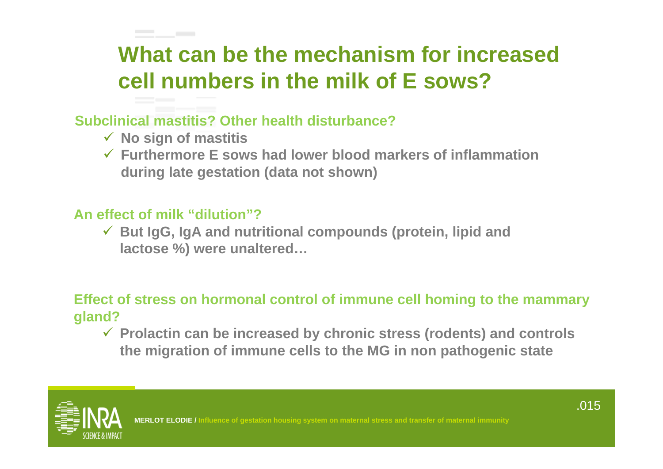## **What can be the mechanism for increased cell numbers in the milk of E sows?**

### **Subclinical mastitis? Other health disturbance?**

**No sign of mastitis**

the control of the control of

 **Furthermore E sows had lower blood markers of inflammation during late gestation (data not shown)**

#### **An effect of milk "dilution"?**

 **But IgG, IgA and nutritional compounds (protein, lipid and lactose %) were unaltered…**

### **Effect of stress on hormonal control of immune cell homing to the mammary gland?**

 **Prolactin can be increased by chronic stress (rodents) and controls the migration of immune cells to the MG in non pathogenic state**



ation housing system on maternal stress and transfer of maternal immunit**y**